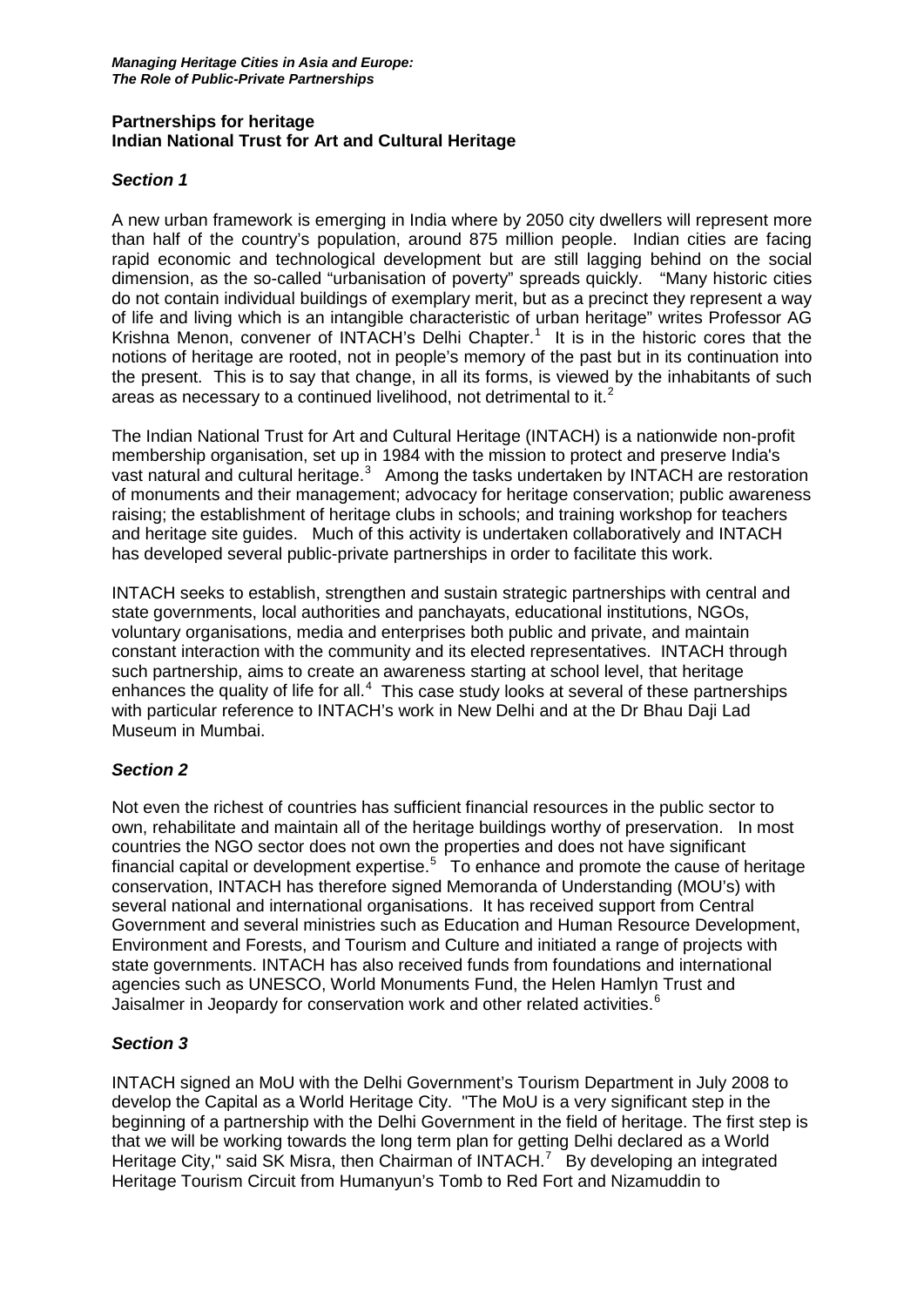#### **Partnerships for heritage Indian National Trust for Art and Cultural Heritage**

### *Section 1*

A new urban framework is emerging in India where by 2050 city dwellers will represent more than half of the country's population, around 875 million people. Indian cities are facing rapid economic and technological development but are still lagging behind on the social dimension, as the so-called "urbanisation of poverty" spreads quickly. "Many historic cities do not contain individual buildings of exemplary merit, but as a precinct they represent a way of life and living which is an intangible characteristic of urban heritage" writes Professor AG Krishna Menon, convener of INTACH's Delhi Chapter.<sup>[1](#page-3-0)</sup> It is in the historic cores that the notions of heritage are rooted, not in people's memory of the past but in its continuation into the present. This is to say that change, in all its forms, is viewed by the inhabitants of such areas as necessary to a continued livelihood, not detrimental to it. $<sup>2</sup>$  $<sup>2</sup>$  $<sup>2</sup>$ </sup>

The Indian National Trust for Art and Cultural Heritage (INTACH) is a nationwide non-profit membership organisation, set up in 1984 with the mission to protect and preserve India's vast natural and cultural heritage. $3$  Among the tasks undertaken by INTACH are restoration of monuments and their management; advocacy for heritage conservation; public awareness raising; the establishment of heritage clubs in schools; and training workshop for teachers and heritage site guides. Much of this activity is undertaken collaboratively and INTACH has developed several public-private partnerships in order to facilitate this work.

INTACH seeks to establish, strengthen and sustain strategic partnerships with central and state governments, local authorities and panchayats, educational institutions, NGOs, voluntary organisations, media and enterprises both public and private, and maintain constant interaction with the community and its elected representatives. INTACH through such partnership, aims to create an awareness starting at school level, that heritage enhances the quality of life for all. $<sup>4</sup>$  $<sup>4</sup>$  $<sup>4</sup>$  This case study looks at several of these partnerships</sup> with particular reference to INTACH's work in New Delhi and at the Dr Bhau Daji Lad Museum in Mumbai.

#### *Section 2*

Not even the richest of countries has sufficient financial resources in the public sector to own, rehabilitate and maintain all of the heritage buildings worthy of preservation. In most countries the NGO sector does not own the properties and does not have significant financial capital or development expertise. $5$  To enhance and promote the cause of heritage conservation, INTACH has therefore signed Memoranda of Understanding (MOU's) with several national and international organisations. It has received support from Central Government and several ministries such as Education and Human Resource Development, Environment and Forests, and Tourism and Culture and initiated a range of projects with state governments. INTACH has also received funds from foundations and international agencies such as UNESCO, World Monuments Fund, the Helen Hamlyn Trust and Jaisalmer in Jeopardy for conservation work and other related activities.<sup>[6](#page-3-5)</sup>

## *Section 3*

INTACH signed an MoU with the Delhi Government's Tourism Department in July 2008 to develop the Capital as a World Heritage City. "The MoU is a very significant step in the beginning of a partnership with the Delhi Government in the field of heritage. The first step is that we will be working towards the long term plan for getting Delhi declared as a World Heritage City," said SK Misra, then Chairman of INTACH. $^7$  $^7$  By developing an integrated Heritage Tourism Circuit from Humanyun's Tomb to Red Fort and Nizamuddin to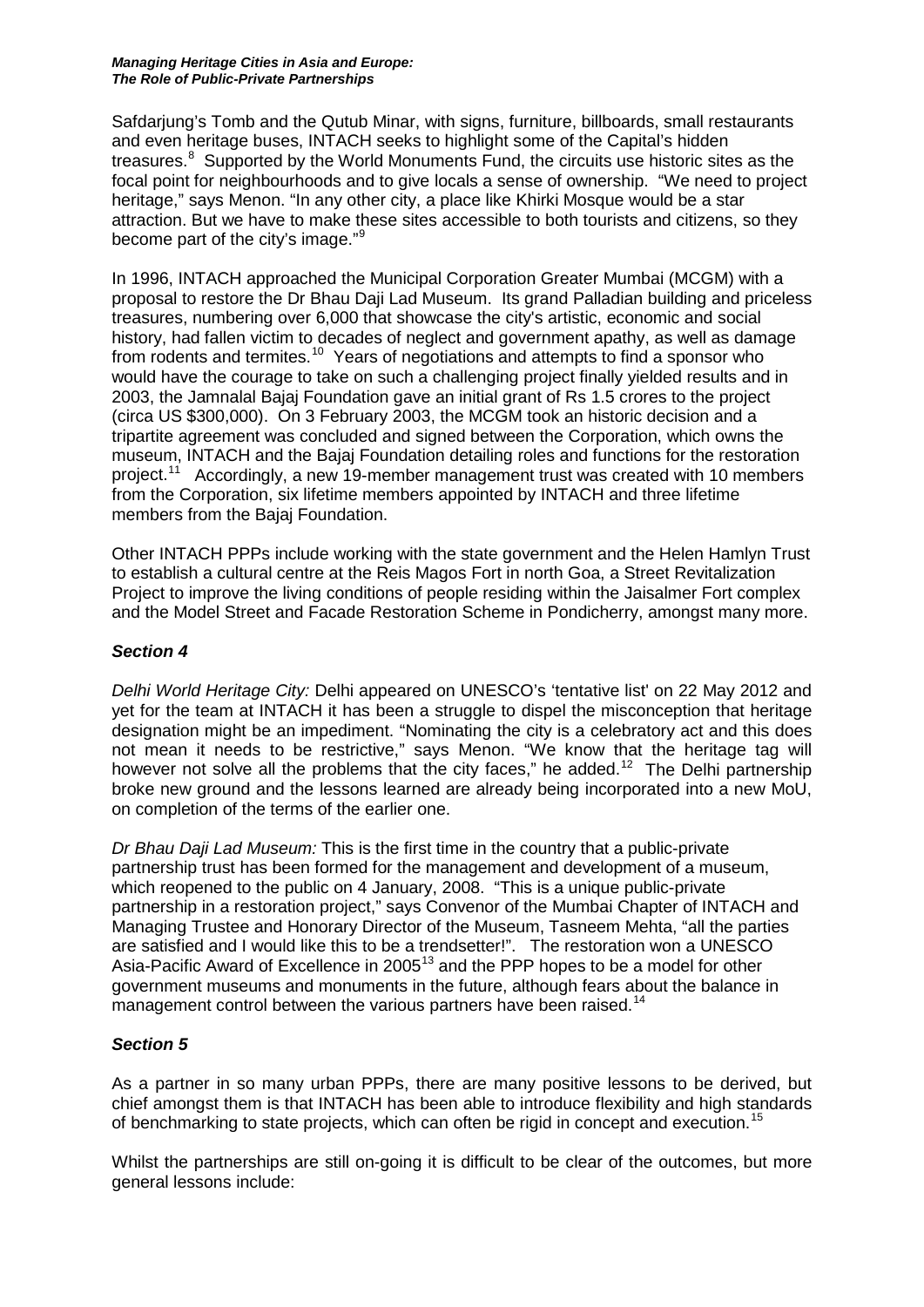#### *Managing Heritage Cities in Asia and Europe: The Role of Public-Private Partnerships*

Safdarjung's Tomb and the Qutub Minar, with signs, furniture, billboards, small restaurants and even heritage buses, INTACH seeks to highlight some of the Capital's hidden treasures.<sup>[8](#page-3-7)</sup> Supported by the World Monuments Fund, the circuits use historic sites as the focal point for neighbourhoods and to give locals a sense of ownership. "We need to project heritage," says Menon. "In any other city, a place like Khirki Mosque would be a star attraction. But we have to make these sites accessible to both tourists and citizens, so they become part of the city's image."[9](#page-3-8)

In 1996, INTACH approached the Municipal Corporation Greater Mumbai (MCGM) with a proposal to restore the Dr Bhau Daji Lad Museum. Its grand Palladian building and priceless treasures, numbering over 6,000 that showcase the city's artistic, economic and social history, had fallen victim to decades of neglect and government apathy, as well as damage from rodents and termites.<sup>10</sup> Years of negotiations and attempts to find a sponsor who would have the courage to take on such a challenging project finally yielded results and in 2003, the Jamnalal Bajaj Foundation gave an initial grant of Rs 1.5 crores to the project (circa US \$300,000). On 3 February 2003, the MCGM took an historic decision and a tripartite agreement was concluded and signed between the Corporation, which owns the museum, INTACH and the Bajaj Foundation detailing roles and functions for the restoration project.[11](#page-3-10) Accordingly, a new 19-member management trust was created with 10 members from the Corporation, six lifetime members appointed by INTACH and three lifetime members from the Bajaj Foundation.

Other INTACH PPPs include working with the state government and the Helen Hamlyn Trust to establish a cultural centre at the Reis Magos Fort in north Goa, a Street Revitalization Project to improve the living conditions of people residing within the Jaisalmer Fort complex and the Model Street and Facade Restoration Scheme in Pondicherry, amongst many more.

## *Section 4*

*Delhi World Heritage City:* Delhi appeared on UNESCO's 'tentative list' on 22 May 2012 and yet for the team at INTACH it has been a struggle to dispel the misconception that heritage designation might be an impediment. "Nominating the city is a celebratory act and this does not mean it needs to be restrictive," says Menon. "We know that the heritage tag will however not solve all the problems that the city faces," he added.<sup>12</sup> The Delhi partnership broke new ground and the lessons learned are already being incorporated into a new MoU, on completion of the terms of the earlier one.

*Dr Bhau Daji Lad Museum:* This is the first time in the country that a public-private partnership trust has been formed for the management and development of a museum, which reopened to the public on 4 January, 2008. "This is a unique public-private partnership in a restoration project," says Convenor of the Mumbai Chapter of INTACH and Managing Trustee and Honorary Director of the Museum, Tasneem Mehta, "all the parties are satisfied and I would like this to be a trendsetter!". The restoration won a UNESCO Asia-Pacific Award of Excellence in 2005<sup>[13](#page-3-12)</sup> and the PPP hopes to be a model for other government museums and monuments in the future, although fears about the balance in management control between the various partners have been raised.<sup>[14](#page-3-13)</sup>

## *Section 5*

As a partner in so many urban PPPs, there are many positive lessons to be derived, but chief amongst them is that INTACH has been able to introduce flexibility and high standards of benchmarking to state projects, which can often be rigid in concept and execution.<sup>[15](#page-3-14)</sup>

Whilst the partnerships are still on-going it is difficult to be clear of the outcomes, but more general lessons include: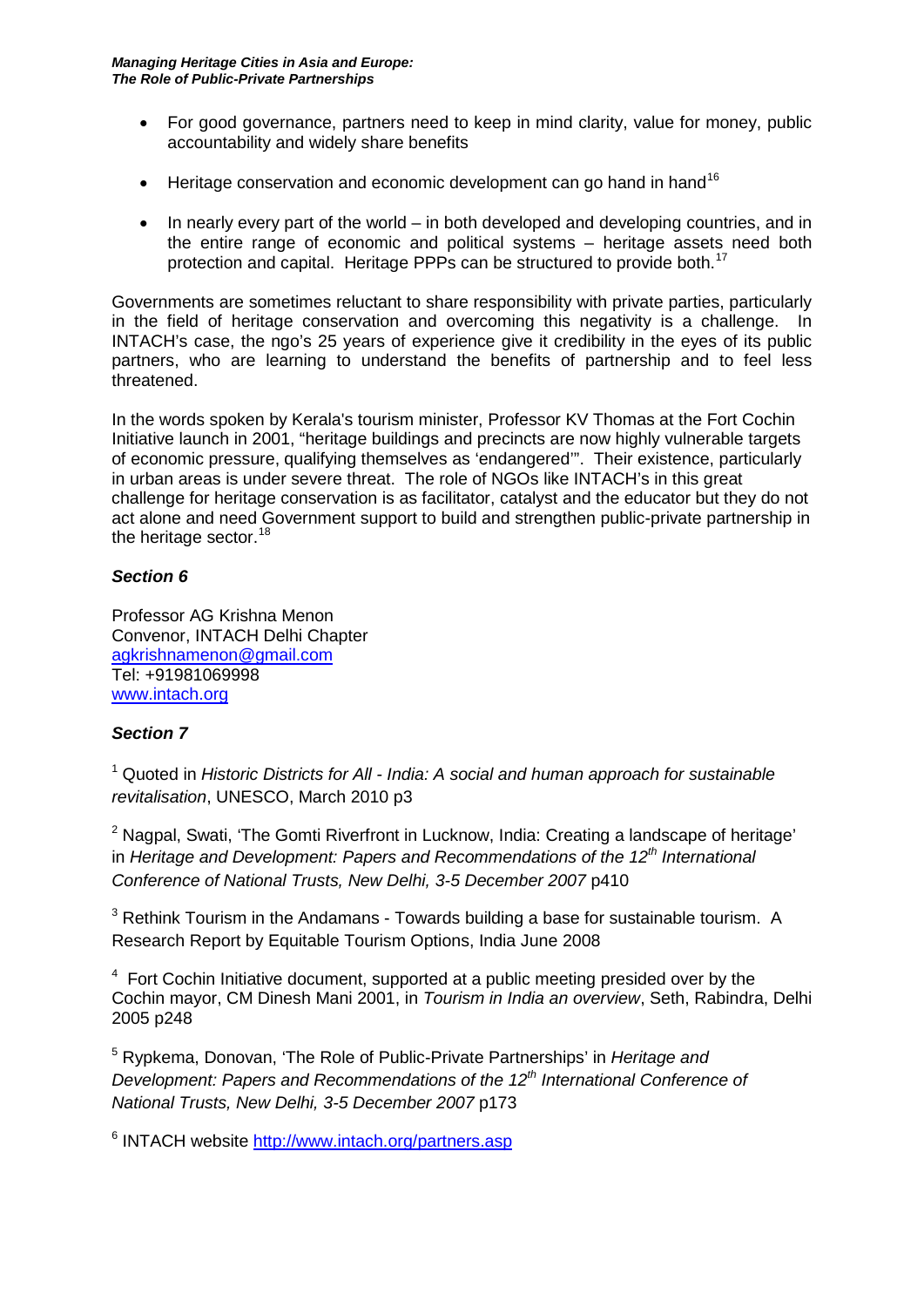- For good governance, partners need to keep in mind clarity, value for money, public accountability and widely share benefits
- Heritage conservation and economic development can go hand in hand<sup>[16](#page-3-15)</sup>
- In nearly every part of the world in both developed and developing countries, and in the entire range of economic and political systems – heritage assets need both protection and capital. Heritage PPPs can be structured to provide both.<sup>[17](#page-3-16)</sup>

Governments are sometimes reluctant to share responsibility with private parties, particularly in the field of heritage conservation and overcoming this negativity is a challenge. In INTACH's case, the ngo's 25 years of experience give it credibility in the eyes of its public partners, who are learning to understand the benefits of partnership and to feel less threatened.

In the words spoken by Kerala's tourism minister, Professor KV Thomas at the Fort Cochin Initiative launch in 2001, "heritage buildings and precincts are now highly vulnerable targets of economic pressure, qualifying themselves as 'endangered'". Their existence, particularly in urban areas is under severe threat. The role of NGOs like INTACH's in this great challenge for heritage conservation is as facilitator, catalyst and the educator but they do not act alone and need Government support to build and strengthen public-private partnership in the heritage sector.  $18$ 

# *Section 6*

Professor AG Krishna Menon Convenor, INTACH Delhi Chapter [agkrishnamenon@gmail.com](mailto:agkrishnamenon@gmail.com) Tel: +91981069998 [www.intach.org](http://www.intach.org/)

## *Section 7*

<sup>1</sup> Quoted in *Historic Districts for All - India: A social and human approach for sustainable revitalisation*, UNESCO, March 2010 p3

 $2$  Nagpal, Swati, 'The Gomti Riverfront in Lucknow, India: Creating a landscape of heritage' in *Heritage and Development: Papers and Recommendations of the 12th International Conference of National Trusts, New Delhi, 3-5 December 2007* p410

 $3$  Rethink Tourism in the Andamans - Towards building a base for sustainable tourism. A Research Report by Equitable Tourism Options, India June 2008

 $4\,$  Fort Cochin Initiative document, supported at a public meeting presided over by the Cochin mayor, CM Dinesh Mani 2001, in *Tourism in India an overview*, Seth, Rabindra, Delhi 2005 p248

<sup>5</sup> Rypkema, Donovan, 'The Role of Public-Private Partnerships' in *Heritage and Development: Papers and Recommendations of the 12th International Conference of National Trusts, New Delhi, 3-5 December 2007* p173

<sup>6</sup> INTACH website<http://www.intach.org/partners.asp>